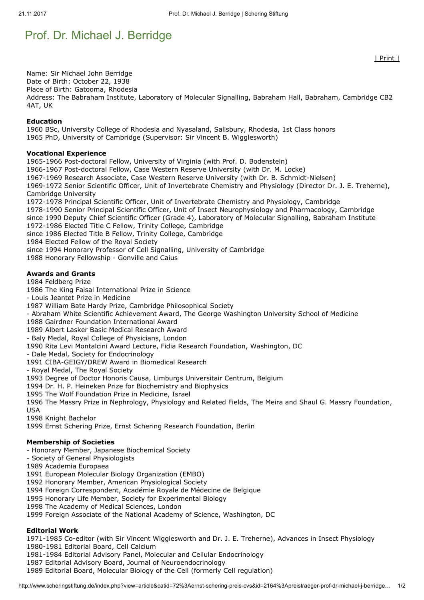# Prof. Dr. Michael J. Berridge

Name: Sir Michael John Berridge Date of Birth: October 22, 1938 Place of Birth: Gatooma, Rhodesia Address: The Babraham Institute, Laboratory of Molecular Signalling, Babraham Hall, Babraham, Cambridge CB2 4AT, UK

#### Education

1960 BSc, University College of Rhodesia and Nyasaland, Salisbury, Rhodesia, 1st Class honors 1965 PhD, University of Cambridge (Supervisor: Sir Vincent B. Wigglesworth)

#### Vocational Experience

1965-1966 Post-doctoral Fellow, University of Virginia (with Prof. D. Bodenstein)

1966-1967 Post-doctoral Fellow, Case Western Reserve University (with Dr. M. Locke)

1967-1969 Research Associate, Case Western Reserve University (with Dr. B. Schmidt-Nielsen)

1969-1972 Senior Scientific Officer, Unit of Invertebrate Chemistry and Physiology (Director Dr. J. E. Treherne), Cambridge University

1972-1978 Principal Scientific Officer, Unit of Invertebrate Chemistry and Physiology, Cambridge

1978-1990 Senior Principal Scientific Officer, Unit of Insect Neurophysiology and Pharmacology, Cambridge since 1990 Deputy Chief Scientific Officer (Grade 4), Laboratory of Molecular Signalling, Babraham Institute

1972-1986 Elected Title C Fellow, Trinity College, Cambridge

since 1986 Elected Title B Fellow, Trinity College, Cambridge

1984 Elected Fellow of the Royal Society

since 1994 Honorary Professor of Cell Signalling, University of Cambridge

1988 Honorary Fellowship - Gonville and Caius

#### Awards and Grants

1984 Feldberg Prize

1986 The King Faisal International Prize in Science

- Louis Jeantet Prize in Medicine

1987 William Bate Hardy Prize, Cambridge Philosophical Society

- Abraham White Scientific Achievement Award, The George Washington University School of Medicine

1988 Gairdner Foundation International Award

1989 Albert Lasker Basic Medical Research Award

- Baly Medal, Royal College of Physicians, London

1990 Rita Levi Montalcini Award Lecture, Fidia Research Foundation, Washington, DC

- Dale Medal, Society for Endocrinology

1991 CIBA-GEIGY/DREW Award in Biomedical Research

- Royal Medal, The Royal Society

1993 Degree of Doctor Honoris Causa, Limburgs Universitair Centrum, Belgium

1994 Dr. H. P. Heineken Prize for Biochemistry and Biophysics

1995 The Wolf Foundation Prize in Medicine, Israel

1996 The Massry Prize in Nephrology, Physiology and Related Fields, The Meira and Shaul G. Massry Foundation, USA

1998 Knight Bachelor

1999 Ernst Schering Prize, Ernst Schering Research Foundation, Berlin

#### Membership of Societies

- Honorary Member, Japanese Biochemical Society

- Society of General Physiologists

1989 Academia Europaea

1991 European Molecular Biology Organization (EMBO)

1992 Honorary Member, American Physiological Society

1994 Foreign Correspondent, Académie Royale de Médecine de Belgique

1995 Honorary Life Member, Society for Experimental Biology

1998 The Academy of Medical Sciences, London

1999 Foreign Associate of the National Academy of Science, Washington, DC

# Editorial Work

1971-1985 Co-editor (with Sir Vincent Wigglesworth and Dr. J. E. Treherne), Advances in Insect Physiology 1980-1981 Editorial Board, Cell Calcium

1981-1984 Editorial Advisory Panel, Molecular and Cellular Endocrinology

1987 Editorial Advisory Board, Journal of Neuroendocrinology

1989 Editorial Board, Molecular Biology of the Cell (formerly Cell regulation)

| Print |